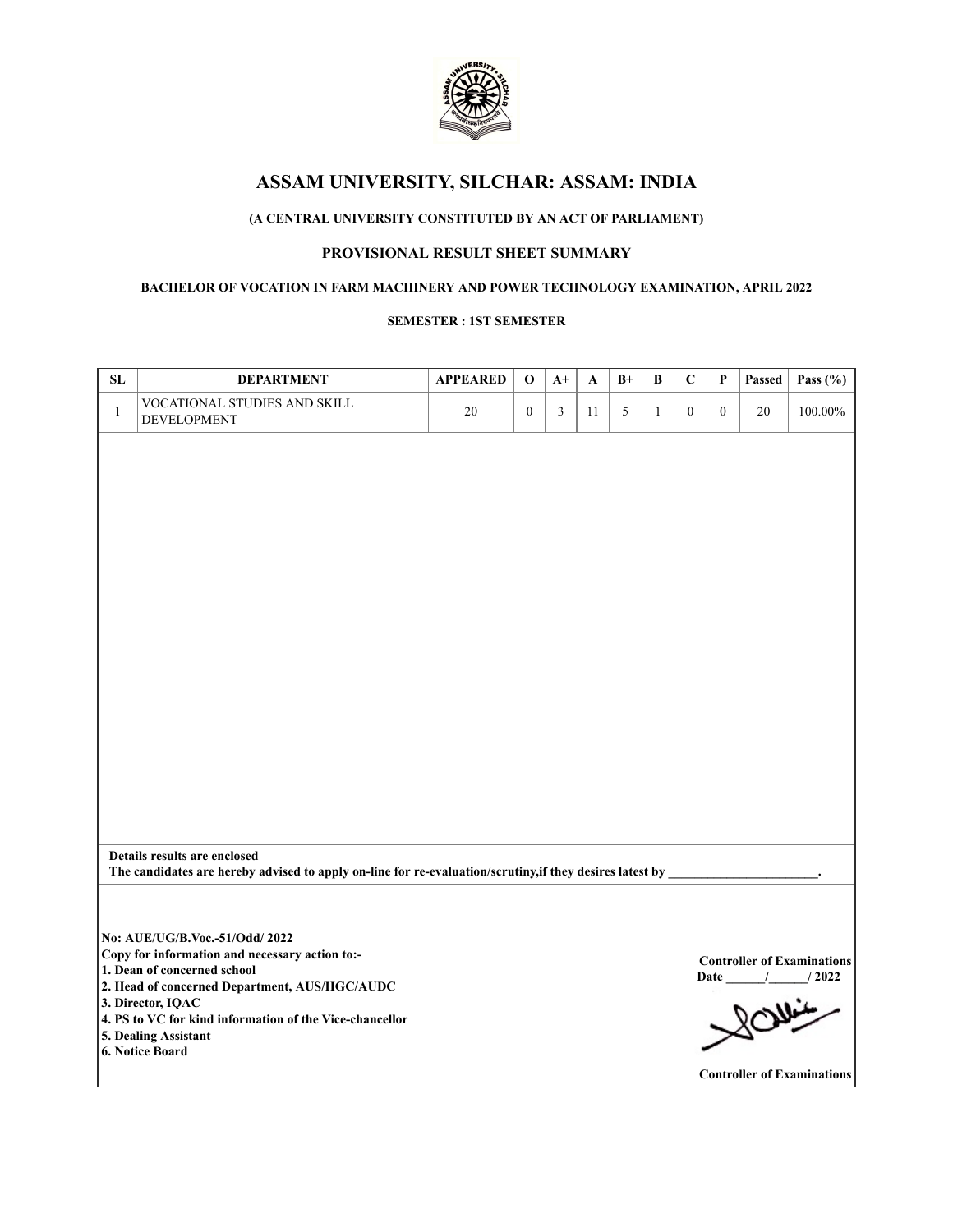

# **(A CENTRAL UNIVERSITY CONSTITUTED BY AN ACT OF PARLIAMENT)**

# **PROVISIONAL RESULT SHEET SUMMARY**

#### **BACHELOR OF VOCATION IN FARM MACHINERY AND POWER TECHNOLOGY EXAMINATION, APRIL 2022**

#### **SEMESTER : 1ST SEMESTER**

| ${\bf SL}$   | <b>DEPARTMENT</b>                                                                                        | <b>APPEARED</b> | $\mathbf 0$      | $A+$ | A  | $B+$       | $\, {\bf B}$ | $\mathbf C$      | $\boldsymbol{\mathsf{P}}$ | Passed | Pass $(\% )$                                       |
|--------------|----------------------------------------------------------------------------------------------------------|-----------------|------------------|------|----|------------|--------------|------------------|---------------------------|--------|----------------------------------------------------|
| $\mathbf{1}$ | VOCATIONAL STUDIES AND SKILL<br>DEVELOPMENT                                                              | 20              | $\boldsymbol{0}$ | 3    | 11 | $\sqrt{5}$ | $\mathbf{1}$ | $\boldsymbol{0}$ | $\mathbf{0}$              | 20     | $100.00\%$                                         |
|              |                                                                                                          |                 |                  |      |    |            |              |                  |                           |        |                                                    |
|              |                                                                                                          |                 |                  |      |    |            |              |                  |                           |        |                                                    |
|              |                                                                                                          |                 |                  |      |    |            |              |                  |                           |        |                                                    |
|              |                                                                                                          |                 |                  |      |    |            |              |                  |                           |        |                                                    |
|              |                                                                                                          |                 |                  |      |    |            |              |                  |                           |        |                                                    |
|              |                                                                                                          |                 |                  |      |    |            |              |                  |                           |        |                                                    |
|              |                                                                                                          |                 |                  |      |    |            |              |                  |                           |        |                                                    |
|              |                                                                                                          |                 |                  |      |    |            |              |                  |                           |        |                                                    |
|              |                                                                                                          |                 |                  |      |    |            |              |                  |                           |        |                                                    |
|              |                                                                                                          |                 |                  |      |    |            |              |                  |                           |        |                                                    |
|              |                                                                                                          |                 |                  |      |    |            |              |                  |                           |        |                                                    |
|              |                                                                                                          |                 |                  |      |    |            |              |                  |                           |        |                                                    |
|              | Details results are enclosed                                                                             |                 |                  |      |    |            |              |                  |                           |        |                                                    |
|              | The candidates are hereby advised to apply on-line for re-evaluation/scrutiny, if they desires latest by |                 |                  |      |    |            |              |                  |                           |        |                                                    |
|              |                                                                                                          |                 |                  |      |    |            |              |                  |                           |        |                                                    |
|              | No: AUE/UG/B.Voc.-51/Odd/ 2022<br>Copy for information and necessary action to:-                         |                 |                  |      |    |            |              |                  |                           |        |                                                    |
|              | 1. Dean of concerned school                                                                              |                 |                  |      |    |            |              |                  |                           |        | <b>Controller of Examinations</b><br>Date / / 2022 |
|              | 2. Head of concerned Department, AUS/HGC/AUDC<br>3. Director, IQAC                                       |                 |                  |      |    |            |              |                  |                           |        |                                                    |
|              | 4. PS to VC for kind information of the Vice-chancellor<br>5. Dealing Assistant                          |                 |                  |      |    |            |              |                  |                           |        |                                                    |
|              | 6. Notice Board                                                                                          |                 |                  |      |    |            |              |                  |                           |        |                                                    |
|              |                                                                                                          |                 |                  |      |    |            |              |                  |                           |        | <b>Controller of Examinations</b>                  |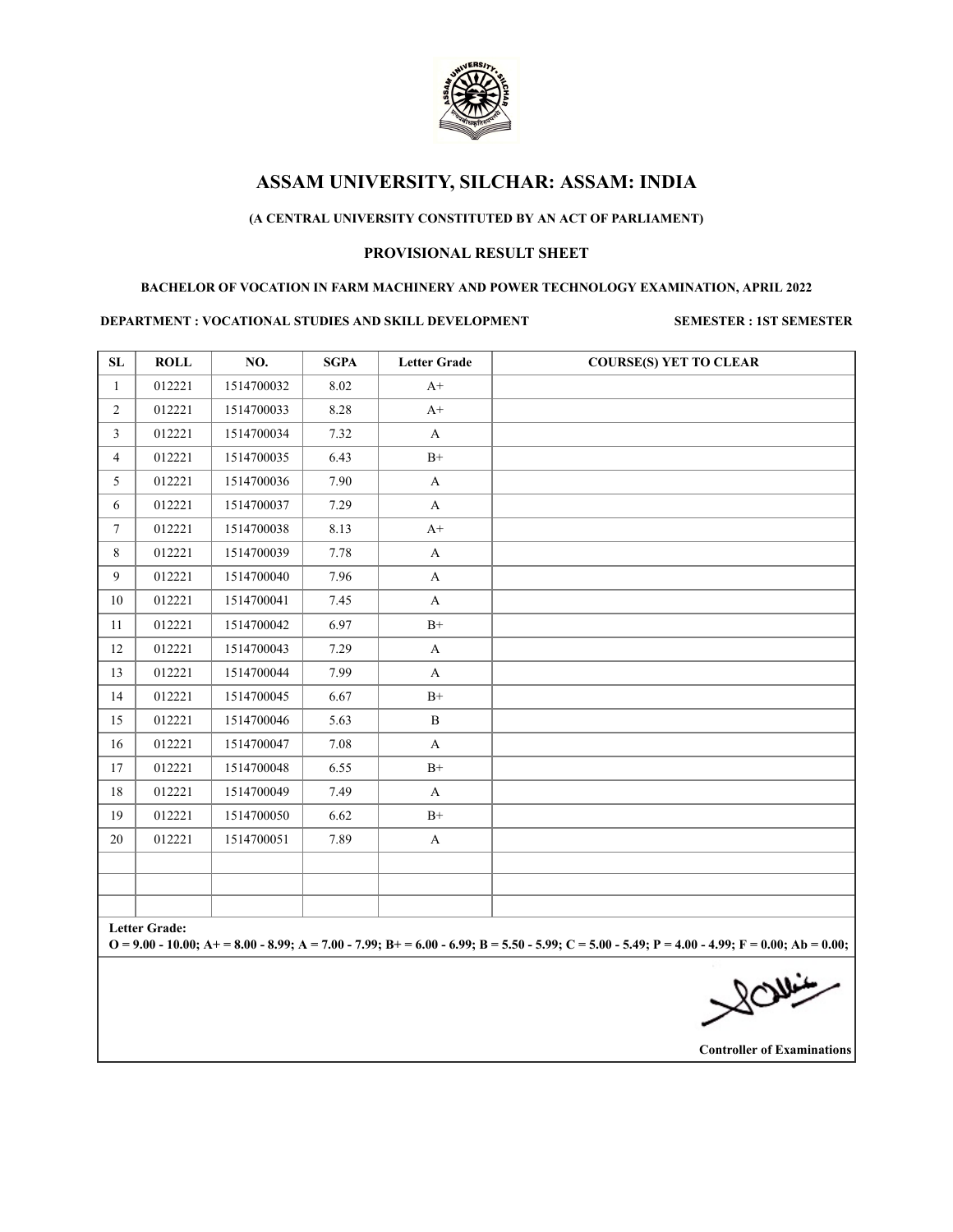

## **(A CENTRAL UNIVERSITY CONSTITUTED BY AN ACT OF PARLIAMENT)**

## **PROVISIONAL RESULT SHEET**

#### **BACHELOR OF VOCATION IN FARM MACHINERY AND POWER TECHNOLOGY EXAMINATION, APRIL 2022**

#### **DEPARTMENT : VOCATIONAL STUDIES AND SKILL DEVELOPMENT SEMESTER : 1ST SEMESTER**

| SL             | <b>ROLL</b>   | NO.        | <b>SGPA</b> | <b>Letter Grade</b> | <b>COURSE(S) YET TO CLEAR</b>                                                                                                                       |
|----------------|---------------|------------|-------------|---------------------|-----------------------------------------------------------------------------------------------------------------------------------------------------|
| $\mathbf{1}$   | 012221        | 1514700032 | 8.02        | $A+$                |                                                                                                                                                     |
| $\overline{2}$ | 012221        | 1514700033 | 8.28        | $A+$                |                                                                                                                                                     |
| $\mathfrak{Z}$ | 012221        | 1514700034 | 7.32        | A                   |                                                                                                                                                     |
| $\overline{4}$ | 012221        | 1514700035 | 6.43        | $B+$                |                                                                                                                                                     |
| 5              | 012221        | 1514700036 | 7.90        | $\mathbf{A}$        |                                                                                                                                                     |
| 6              | 012221        | 1514700037 | 7.29        | A                   |                                                                                                                                                     |
| 7              | 012221        | 1514700038 | 8.13        | $A+$                |                                                                                                                                                     |
| 8              | 012221        | 1514700039 | 7.78        | $\mathbf{A}$        |                                                                                                                                                     |
| 9              | 012221        | 1514700040 | 7.96        | $\mathbf{A}$        |                                                                                                                                                     |
| 10             | 012221        | 1514700041 | 7.45        | $\mathbf{A}$        |                                                                                                                                                     |
| 11             | 012221        | 1514700042 | 6.97        | $B+$                |                                                                                                                                                     |
| 12             | 012221        | 1514700043 | 7.29        | A                   |                                                                                                                                                     |
| 13             | 012221        | 1514700044 | 7.99        | $\mathbf{A}$        |                                                                                                                                                     |
| 14             | 012221        | 1514700045 | 6.67        | $B+$                |                                                                                                                                                     |
| 15             | 012221        | 1514700046 | 5.63        | B                   |                                                                                                                                                     |
| 16             | 012221        | 1514700047 | 7.08        | $\mathbf{A}$        |                                                                                                                                                     |
| 17             | 012221        | 1514700048 | 6.55        | $B+$                |                                                                                                                                                     |
| 18             | 012221        | 1514700049 | 7.49        | A                   |                                                                                                                                                     |
| 19             | 012221        | 1514700050 | 6.62        | $B+$                |                                                                                                                                                     |
| 20             | 012221        | 1514700051 | 7.89        | $\mathbf{A}$        |                                                                                                                                                     |
|                |               |            |             |                     |                                                                                                                                                     |
|                |               |            |             |                     |                                                                                                                                                     |
|                |               |            |             |                     |                                                                                                                                                     |
|                | Letter Grade: |            |             |                     | $Q = 9.00 - 10.00$ ; A + = 8.00 - 8.99; A = 7.00 - 7.99; B + = 6.00 - 6.99; B = 5.50 - 5.99; C = 5.00 - 5.49; P = 4.00 - 4.99; F = 0.00; Ab = 0.00; |
|                |               |            |             |                     |                                                                                                                                                     |
|                |               |            |             |                     | 200                                                                                                                                                 |
|                |               |            |             |                     |                                                                                                                                                     |
|                |               |            |             |                     |                                                                                                                                                     |

**Controller of Examinations**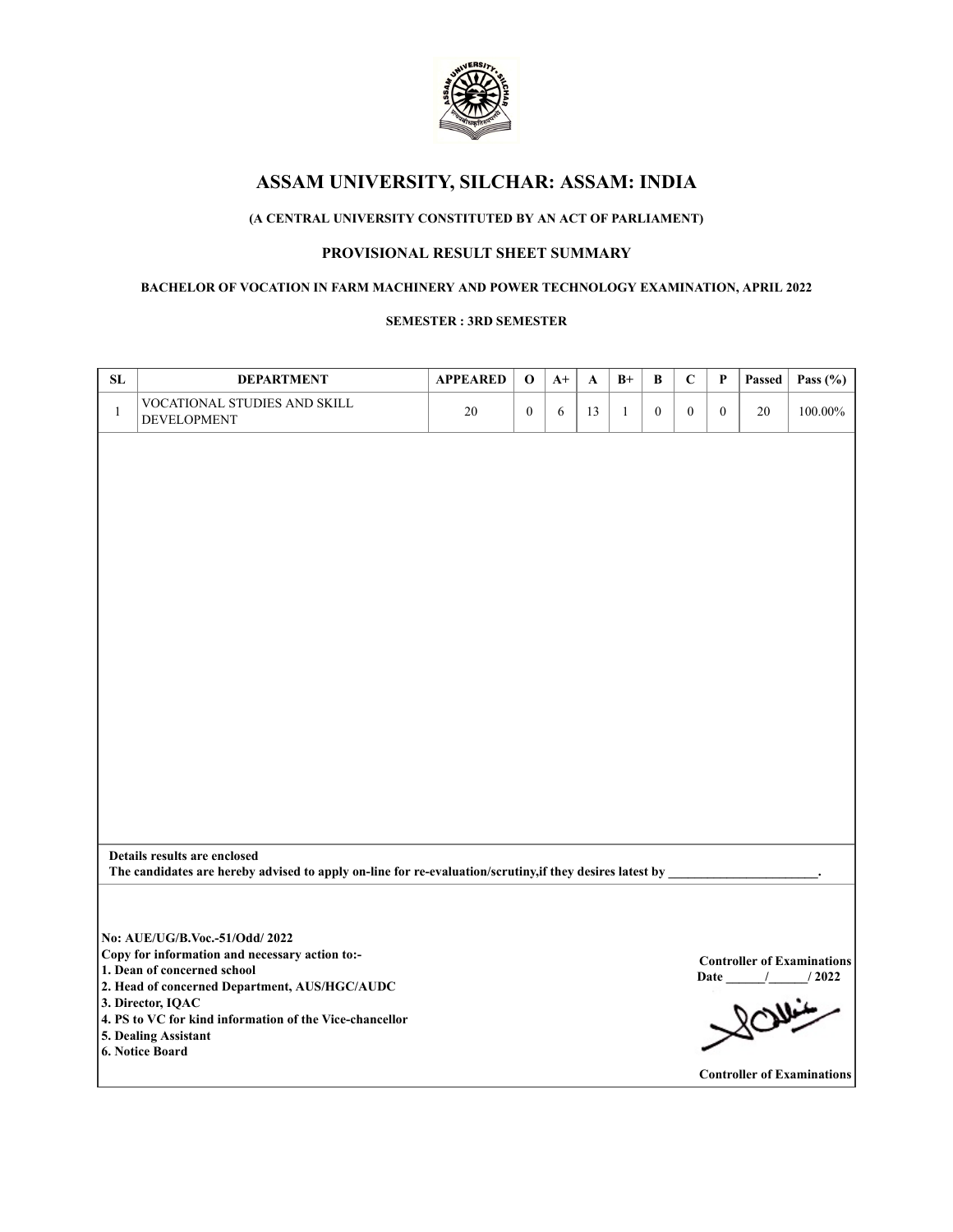

# **(A CENTRAL UNIVERSITY CONSTITUTED BY AN ACT OF PARLIAMENT)**

# **PROVISIONAL RESULT SHEET SUMMARY**

### **BACHELOR OF VOCATION IN FARM MACHINERY AND POWER TECHNOLOGY EXAMINATION, APRIL 2022**

#### **SEMESTER : 3RD SEMESTER**

| ${\bf SL}$   | <b>DEPARTMENT</b>                                                                                                                        | <b>APPEARED</b> | $\mathbf 0$      | $A+$ | A  | $B+$         | В                | $\mathbf C$      | $\mathbf P$  | Passed | Pass (%)                          |
|--------------|------------------------------------------------------------------------------------------------------------------------------------------|-----------------|------------------|------|----|--------------|------------------|------------------|--------------|--------|-----------------------------------|
| $\mathbf{1}$ | VOCATIONAL STUDIES AND SKILL<br>DEVELOPMENT                                                                                              | 20              | $\boldsymbol{0}$ | 6    | 13 | $\mathbf{1}$ | $\boldsymbol{0}$ | $\boldsymbol{0}$ | $\mathbf{0}$ | 20     | 100.00%                           |
|              |                                                                                                                                          |                 |                  |      |    |              |                  |                  |              |        |                                   |
|              |                                                                                                                                          |                 |                  |      |    |              |                  |                  |              |        |                                   |
|              |                                                                                                                                          |                 |                  |      |    |              |                  |                  |              |        |                                   |
|              |                                                                                                                                          |                 |                  |      |    |              |                  |                  |              |        |                                   |
|              |                                                                                                                                          |                 |                  |      |    |              |                  |                  |              |        |                                   |
|              |                                                                                                                                          |                 |                  |      |    |              |                  |                  |              |        |                                   |
|              |                                                                                                                                          |                 |                  |      |    |              |                  |                  |              |        |                                   |
|              |                                                                                                                                          |                 |                  |      |    |              |                  |                  |              |        |                                   |
|              |                                                                                                                                          |                 |                  |      |    |              |                  |                  |              |        |                                   |
|              |                                                                                                                                          |                 |                  |      |    |              |                  |                  |              |        |                                   |
|              |                                                                                                                                          |                 |                  |      |    |              |                  |                  |              |        |                                   |
|              |                                                                                                                                          |                 |                  |      |    |              |                  |                  |              |        |                                   |
|              |                                                                                                                                          |                 |                  |      |    |              |                  |                  |              |        |                                   |
|              | Details results are enclosed<br>The candidates are hereby advised to apply on-line for re-evaluation/scrutiny, if they desires latest by |                 |                  |      |    |              |                  |                  |              |        |                                   |
|              |                                                                                                                                          |                 |                  |      |    |              |                  |                  |              |        |                                   |
|              | No: AUE/UG/B.Voc - 51/Odd/ 2022                                                                                                          |                 |                  |      |    |              |                  |                  |              |        |                                   |
|              | Copy for information and necessary action to:-                                                                                           |                 |                  |      |    |              |                  |                  |              |        | <b>Controller of Examinations</b> |
|              | 1. Dean of concerned school<br>2. Head of concerned Department, AUS/HGC/AUDC                                                             |                 |                  |      |    |              |                  |                  |              |        | Date / / 2022                     |
|              | 3. Director, IQAC<br>4. PS to VC for kind information of the Vice-chancellor                                                             |                 |                  |      |    |              |                  |                  |              |        |                                   |
|              | 5. Dealing Assistant                                                                                                                     |                 |                  |      |    |              |                  |                  |              |        |                                   |
|              | 6. Notice Board                                                                                                                          |                 |                  |      |    |              |                  |                  |              |        |                                   |
|              |                                                                                                                                          |                 |                  |      |    |              |                  |                  |              |        | <b>Controller of Examinations</b> |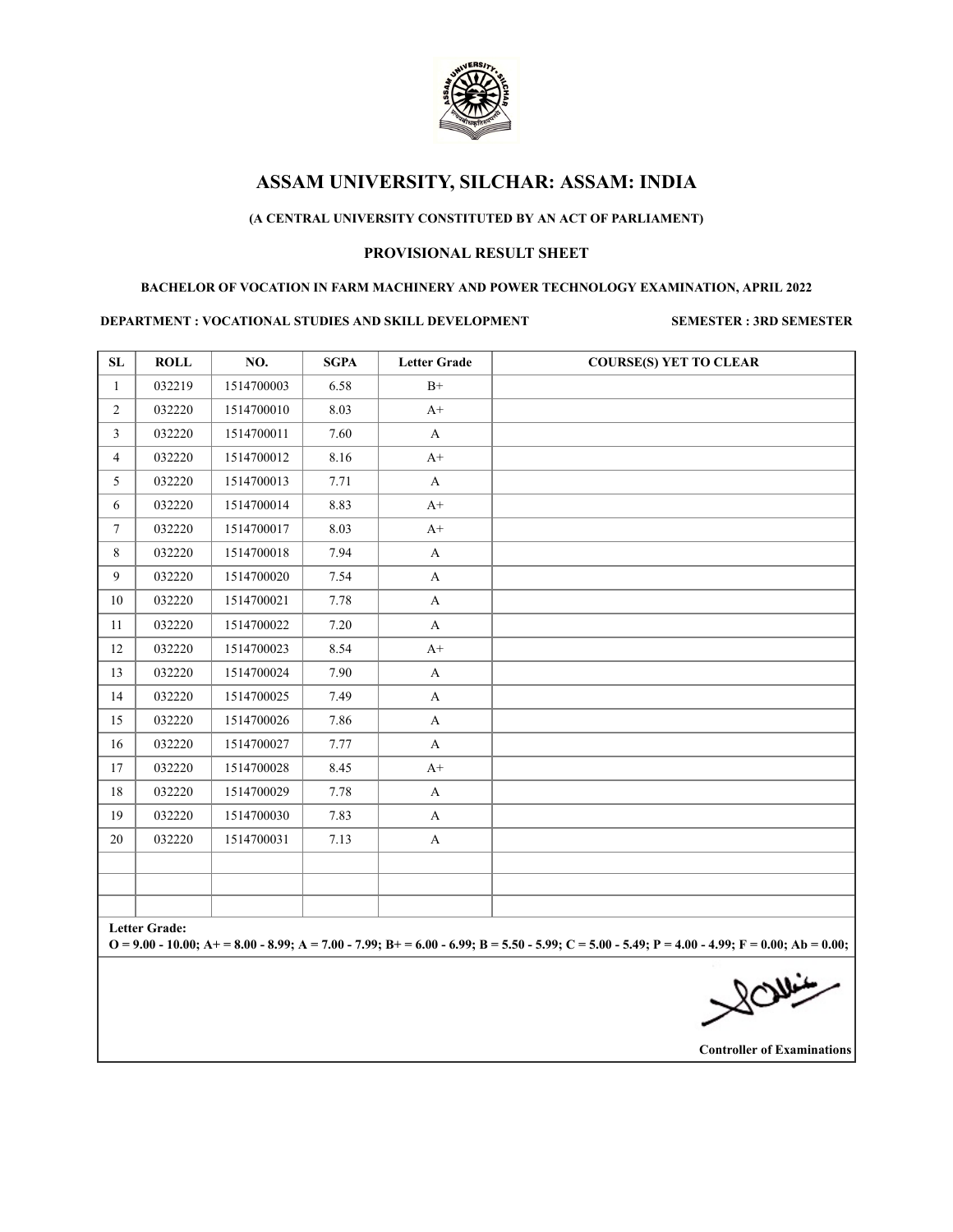

## **(A CENTRAL UNIVERSITY CONSTITUTED BY AN ACT OF PARLIAMENT)**

## **PROVISIONAL RESULT SHEET**

#### **BACHELOR OF VOCATION IN FARM MACHINERY AND POWER TECHNOLOGY EXAMINATION, APRIL 2022**

#### **DEPARTMENT : VOCATIONAL STUDIES AND SKILL DEVELOPMENT SEMESTER : 3RD SEMESTER**

| SL              | <b>ROLL</b>   | NO.        | <b>SGPA</b> | <b>Letter Grade</b> | <b>COURSE(S) YET TO CLEAR</b>                                                                                                                       |
|-----------------|---------------|------------|-------------|---------------------|-----------------------------------------------------------------------------------------------------------------------------------------------------|
| $\mathbf{1}$    | 032219        | 1514700003 | 6.58        | $B+$                |                                                                                                                                                     |
| $\overline{2}$  | 032220        | 1514700010 | 8.03        | $A+$                |                                                                                                                                                     |
| $\mathfrak{Z}$  | 032220        | 1514700011 | 7.60        | A                   |                                                                                                                                                     |
| $\overline{4}$  | 032220        | 1514700012 | 8.16        | $A+$                |                                                                                                                                                     |
| $5^{\circ}$     | 032220        | 1514700013 | 7.71        | A                   |                                                                                                                                                     |
| 6               | 032220        | 1514700014 | 8.83        | $A+$                |                                                                                                                                                     |
| $7\overline{ }$ | 032220        | 1514700017 | 8.03        | $A+$                |                                                                                                                                                     |
| 8               | 032220        | 1514700018 | 7.94        | $\mathbf{A}$        |                                                                                                                                                     |
| 9               | 032220        | 1514700020 | 7.54        | A                   |                                                                                                                                                     |
| 10              | 032220        | 1514700021 | 7.78        | A                   |                                                                                                                                                     |
| 11              | 032220        | 1514700022 | 7.20        | A                   |                                                                                                                                                     |
| 12              | 032220        | 1514700023 | 8.54        | $A+$                |                                                                                                                                                     |
| 13              | 032220        | 1514700024 | 7.90        | $\mathbf{A}$        |                                                                                                                                                     |
| 14              | 032220        | 1514700025 | 7.49        | A                   |                                                                                                                                                     |
| 15              | 032220        | 1514700026 | 7.86        | $\mathbf{A}$        |                                                                                                                                                     |
| 16              | 032220        | 1514700027 | 7.77        | $\mathbf{A}$        |                                                                                                                                                     |
| 17              | 032220        | 1514700028 | 8.45        | $A+$                |                                                                                                                                                     |
| 18              | 032220        | 1514700029 | 7.78        | A                   |                                                                                                                                                     |
| 19              | 032220        | 1514700030 | 7.83        | A                   |                                                                                                                                                     |
| 20              | 032220        | 1514700031 | 7.13        | A                   |                                                                                                                                                     |
|                 |               |            |             |                     |                                                                                                                                                     |
|                 |               |            |             |                     |                                                                                                                                                     |
|                 |               |            |             |                     |                                                                                                                                                     |
|                 | Letter Grade: |            |             |                     | $O = 9.00 - 10.00$ ; A + = 8.00 - 8.99; A = 7.00 - 7.99; B + = 6.00 - 6.99; B = 5.50 - 5.99; C = 5.00 - 5.49; P = 4.00 - 4.99; F = 0.00; Ab = 0.00; |
|                 |               |            |             |                     | $\frac{1}{\sqrt{2}}$                                                                                                                                |
|                 |               |            |             |                     |                                                                                                                                                     |
|                 |               |            |             |                     |                                                                                                                                                     |
|                 |               |            |             |                     |                                                                                                                                                     |

**Controller of Examinations**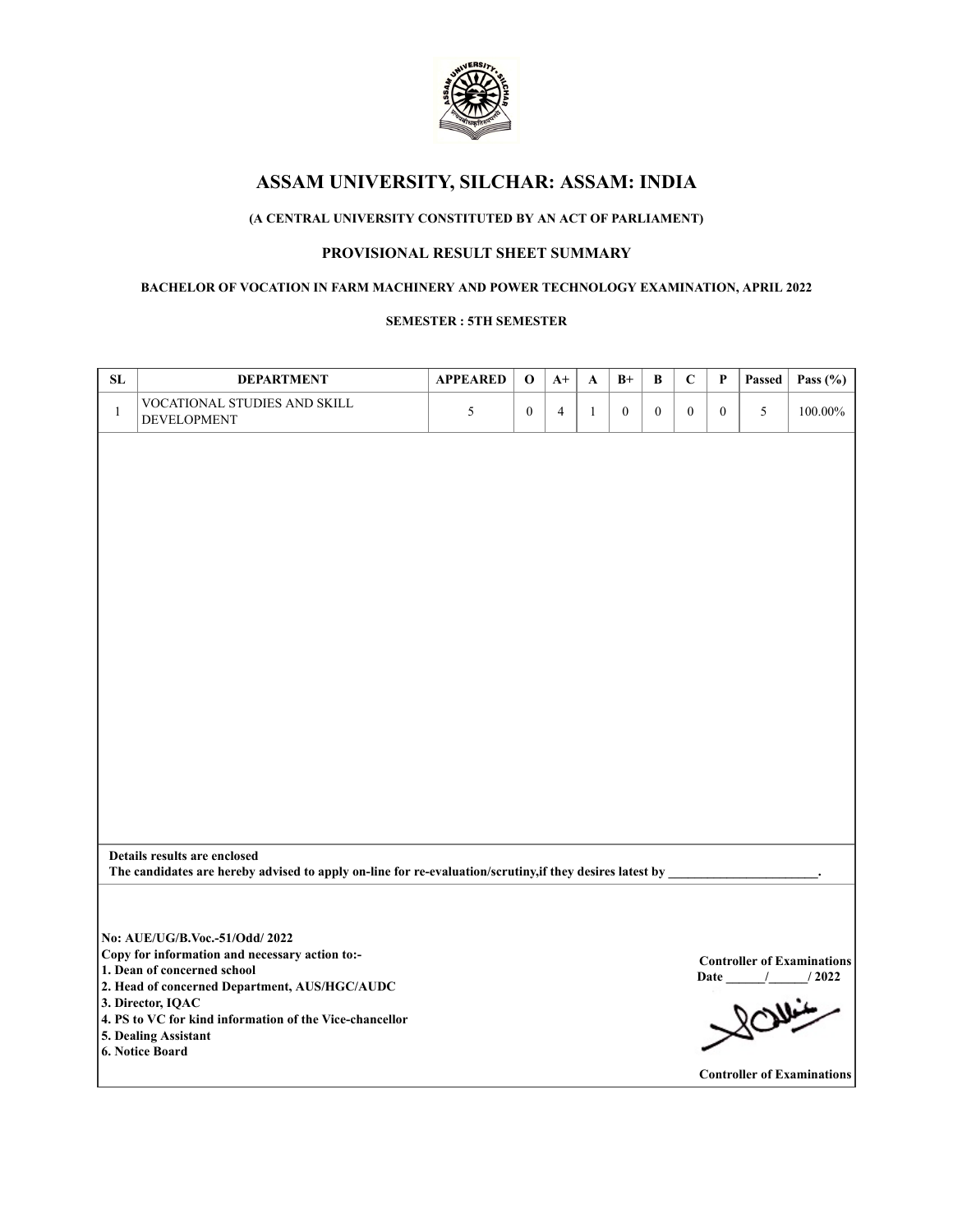

# **(A CENTRAL UNIVERSITY CONSTITUTED BY AN ACT OF PARLIAMENT)**

## **PROVISIONAL RESULT SHEET SUMMARY**

### **BACHELOR OF VOCATION IN FARM MACHINERY AND POWER TECHNOLOGY EXAMINATION, APRIL 2022**

#### **SEMESTER : 5TH SEMESTER**

| ${\bf SL}$   | <b>DEPARTMENT</b>                                                                                        | <b>APPEARED</b> | $\mathbf 0$      | $A+$           | A            | $B+$         | $\, {\bf B}$   | $\mathbf C$      | $\mathbf P$  | Passed | Pass $(\% )$                      |
|--------------|----------------------------------------------------------------------------------------------------------|-----------------|------------------|----------------|--------------|--------------|----------------|------------------|--------------|--------|-----------------------------------|
| $\mathbf{1}$ | VOCATIONAL STUDIES AND SKILL<br>DEVELOPMENT                                                              | $\mathfrak{H}$  | $\boldsymbol{0}$ | $\overline{4}$ | $\mathbf{1}$ | $\mathbf{0}$ | $\overline{0}$ | $\boldsymbol{0}$ | $\mathbf{0}$ | 5      | 100.00%                           |
|              |                                                                                                          |                 |                  |                |              |              |                |                  |              |        |                                   |
|              |                                                                                                          |                 |                  |                |              |              |                |                  |              |        |                                   |
|              |                                                                                                          |                 |                  |                |              |              |                |                  |              |        |                                   |
|              |                                                                                                          |                 |                  |                |              |              |                |                  |              |        |                                   |
|              |                                                                                                          |                 |                  |                |              |              |                |                  |              |        |                                   |
|              |                                                                                                          |                 |                  |                |              |              |                |                  |              |        |                                   |
|              |                                                                                                          |                 |                  |                |              |              |                |                  |              |        |                                   |
|              |                                                                                                          |                 |                  |                |              |              |                |                  |              |        |                                   |
|              |                                                                                                          |                 |                  |                |              |              |                |                  |              |        |                                   |
|              |                                                                                                          |                 |                  |                |              |              |                |                  |              |        |                                   |
|              |                                                                                                          |                 |                  |                |              |              |                |                  |              |        |                                   |
|              |                                                                                                          |                 |                  |                |              |              |                |                  |              |        |                                   |
|              |                                                                                                          |                 |                  |                |              |              |                |                  |              |        |                                   |
|              |                                                                                                          |                 |                  |                |              |              |                |                  |              |        |                                   |
|              |                                                                                                          |                 |                  |                |              |              |                |                  |              |        |                                   |
|              |                                                                                                          |                 |                  |                |              |              |                |                  |              |        |                                   |
|              | Details results are enclosed                                                                             |                 |                  |                |              |              |                |                  |              |        |                                   |
|              | The candidates are hereby advised to apply on-line for re-evaluation/scrutiny, if they desires latest by |                 |                  |                |              |              |                |                  |              |        |                                   |
|              |                                                                                                          |                 |                  |                |              |              |                |                  |              |        |                                   |
|              | No: AUE/UG/B.Voc .- 51/Odd/ 2022                                                                         |                 |                  |                |              |              |                |                  |              |        |                                   |
|              | Copy for information and necessary action to:-                                                           |                 |                  |                |              |              |                |                  |              |        | <b>Controller of Examinations</b> |
|              | 1. Dean of concerned school<br>2. Head of concerned Department, AUS/HGC/AUDC                             |                 |                  |                |              |              |                |                  |              |        | Date / / 2022                     |
|              | 3. Director, IQAC                                                                                        |                 |                  |                |              |              |                |                  |              |        |                                   |
|              | 4. PS to VC for kind information of the Vice-chancellor<br>5. Dealing Assistant                          |                 |                  |                |              |              |                |                  |              |        |                                   |
|              | 6. Notice Board                                                                                          |                 |                  |                |              |              |                |                  |              |        |                                   |
|              |                                                                                                          |                 |                  |                |              |              |                |                  |              |        | <b>Controller of Examinations</b> |